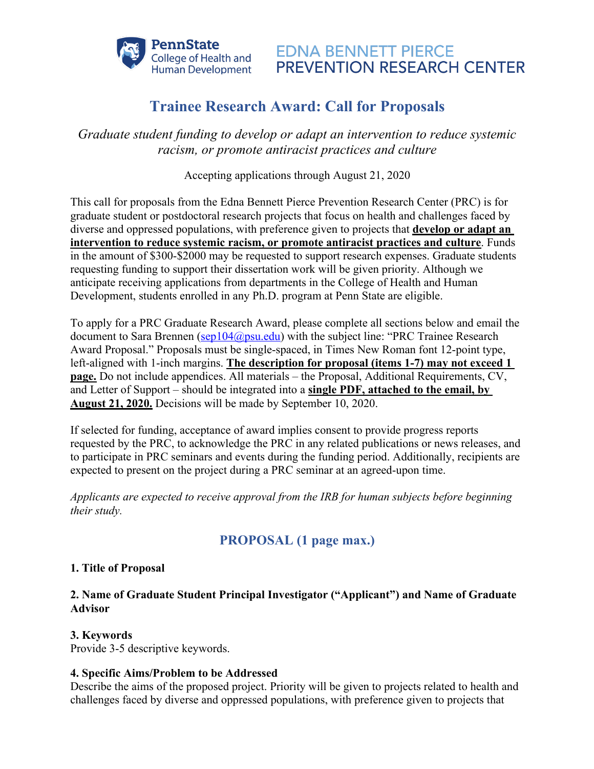

# **Trainee Research Award: Call for Proposals**

*Graduate student funding to develop or adapt an intervention to reduce systemic racism, or promote antiracist practices and culture*

Accepting applications through August 21, 2020

This call for proposals from the Edna Bennett Pierce Prevention Research Center (PRC) is for graduate student or postdoctoral research projects that focus on health and challenges faced by diverse and oppressed populations, with preference given to projects that **develop or adapt an intervention to reduce systemic racism, or promote antiracist practices and culture**. Funds in the amount of \$300-\$2000 may be requested to support research expenses. Graduate students requesting funding to support their dissertation work will be given priority. Although we anticipate receiving applications from departments in the College of Health and Human Development, students enrolled in any Ph.D. program at Penn State are eligible.

To apply for a PRC Graduate Research Award, please complete all sections below and email the document to Sara Brennen ( $\frac{\text{sep104}(a)\text{psu.edu}}{\text{cell}}$ ) with the subject line: "PRC Trainee Research Award Proposal." Proposals must be single-spaced, in Times New Roman font 12-point type, left-aligned with 1-inch margins. **The description for proposal (items 1-7) may not exceed 1 page.** Do not include appendices. All materials – the Proposal, Additional Requirements, CV, and Letter of Support – should be integrated into a **single PDF, attached to the email, by August 21, 2020.** Decisions will be made by September 10, 2020.

If selected for funding, acceptance of award implies consent to provide progress reports requested by the PRC, to acknowledge the PRC in any related publications or news releases, and to participate in PRC seminars and events during the funding period. Additionally, recipients are expected to present on the project during a PRC seminar at an agreed-upon time.

*Applicants are expected to receive approval from the IRB for human subjects before beginning their study.*

# **PROPOSAL (1 page max.)**

## **1. Title of Proposal**

# **2. Name of Graduate Student Principal Investigator ("Applicant") and Name of Graduate Advisor**

## **3. Keywords**

Provide 3-5 descriptive keywords.

## **4. Specific Aims/Problem to be Addressed**

Describe the aims of the proposed project. Priority will be given to projects related to health and challenges faced by diverse and oppressed populations, with preference given to projects that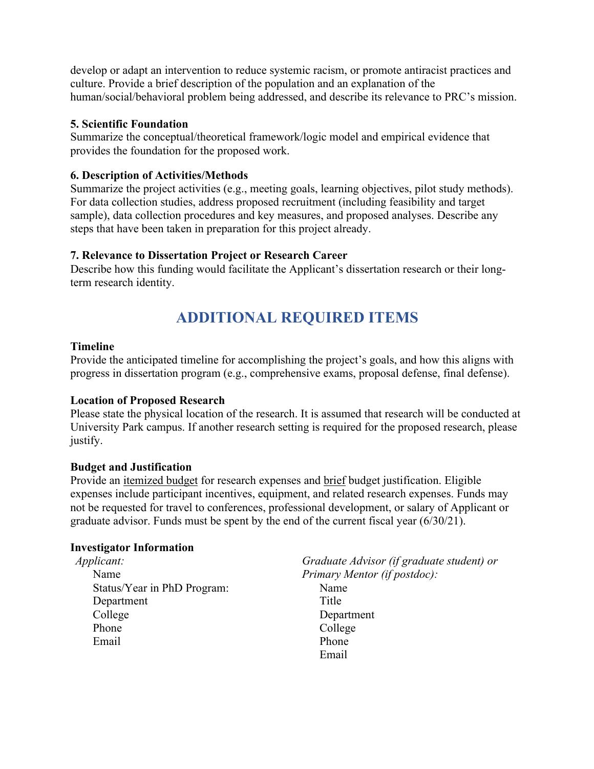develop or adapt an intervention to reduce systemic racism, or promote antiracist practices and culture. Provide a brief description of the population and an explanation of the human/social/behavioral problem being addressed, and describe its relevance to PRC's mission.

#### **5. Scientific Foundation**

Summarize the conceptual/theoretical framework/logic model and empirical evidence that provides the foundation for the proposed work.

#### **6. Description of Activities/Methods**

Summarize the project activities (e.g., meeting goals, learning objectives, pilot study methods). For data collection studies, address proposed recruitment (including feasibility and target sample), data collection procedures and key measures, and proposed analyses. Describe any steps that have been taken in preparation for this project already.

## **7. Relevance to Dissertation Project or Research Career**

Describe how this funding would facilitate the Applicant's dissertation research or their longterm research identity.

# **ADDITIONAL REQUIRED ITEMS**

#### **Timeline**

Provide the anticipated timeline for accomplishing the project's goals, and how this aligns with progress in dissertation program (e.g., comprehensive exams, proposal defense, final defense).

## **Location of Proposed Research**

Please state the physical location of the research. It is assumed that research will be conducted at University Park campus. If another research setting is required for the proposed research, please justify.

## **Budget and Justification**

Provide an itemized budget for research expenses and brief budget justification. Eligible expenses include participant incentives, equipment, and related research expenses. Funds may not be requested for travel to conferences, professional development, or salary of Applicant or graduate advisor. Funds must be spent by the end of the current fiscal year (6/30/21).

#### **Investigator Information**

| Applicant:                  | Graduate Advisor (if graduate student) or |
|-----------------------------|-------------------------------------------|
| Name                        | Primary Mentor (if postdoc):              |
| Status/Year in PhD Program: | Name                                      |
| Department                  | Title                                     |
| College                     | Department                                |
| Phone                       | College                                   |
| Email                       | Phone                                     |
|                             | Email                                     |
|                             |                                           |